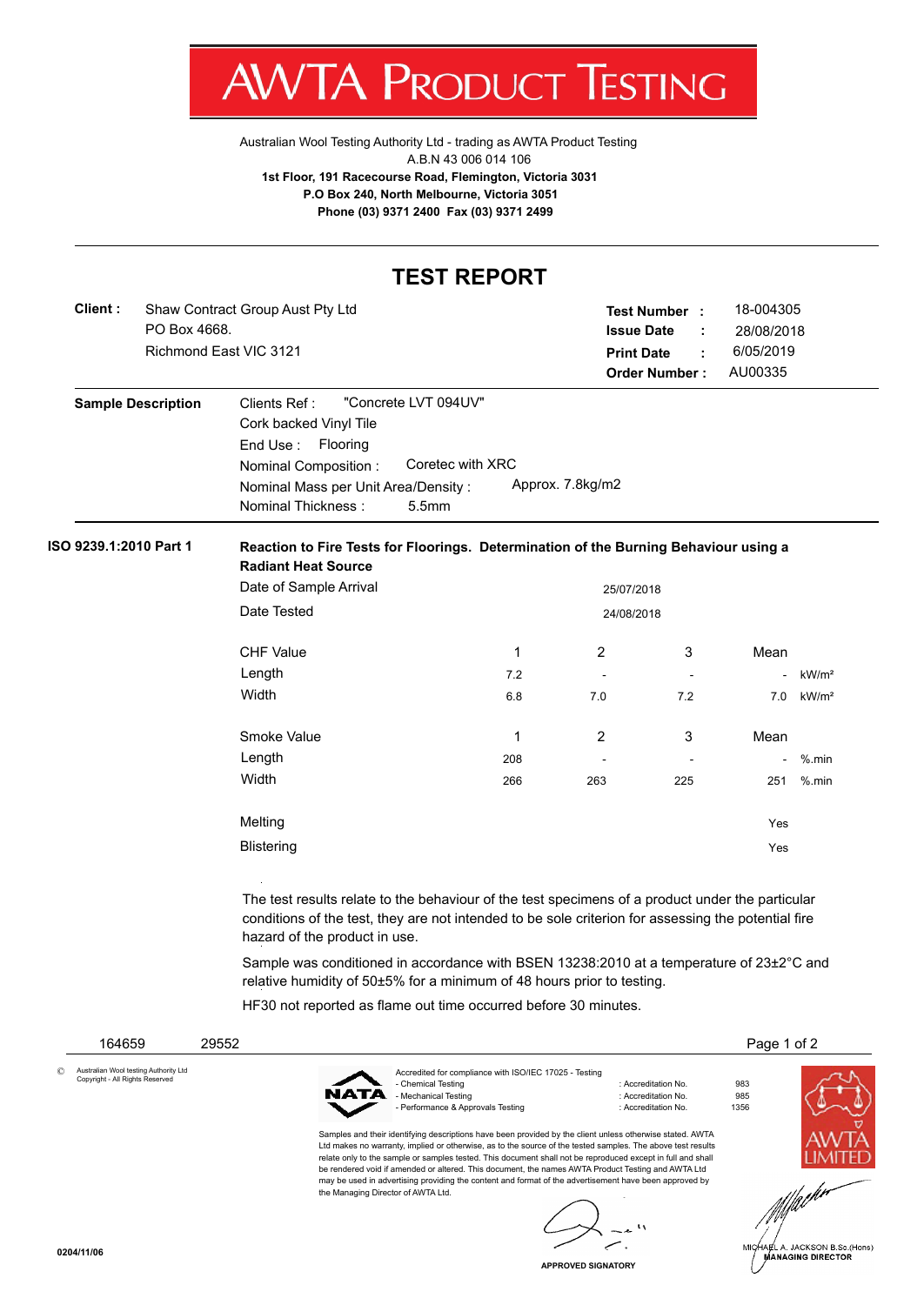

[Australian Wool Testing Authority Ltd - trading as AWTA Product Testing](http://www.awtaproducttesting.com.au/) A.B.N 43 006 014 106 **1st Floor, 191 Racecourse Road, Flemington, Victoria 3031 P.O Box 240, North Melbourne, Victoria 3051 Phone (03) 9371 2400 Fax (03) 9371 2499**

## **TEST REPORT**

| Shaw Contract Group Aust Pty Ltd |                   |    | 18-004305                                           |
|----------------------------------|-------------------|----|-----------------------------------------------------|
| PO Box 4668.                     | <b>Issue Date</b> |    | 28/08/2018                                          |
| Richmond East VIC 3121           | <b>Print Date</b> | ÷. | 6/05/2019                                           |
|                                  |                   |    | AU00335                                             |
|                                  |                   |    | <b>Test Number:</b><br>- 11<br><b>Order Number:</b> |

| <b>Sample Description</b> | "Concrete LVT 094UV"<br>Clients Ref :                   |
|---------------------------|---------------------------------------------------------|
|                           | Cork backed Vinyl Tile                                  |
|                           | End Use: Flooring                                       |
|                           | Coretec with XRC<br>Nominal Composition:                |
|                           | Approx. 7.8kg/m2<br>Nominal Mass per Unit Area/Density: |
|                           | Nominal Thickness:<br>5.5 <sub>mm</sub>                 |

## **ISO 9239.1:2010 Part 1 Reaction to Fire Tests for Floorings. Determination of the Burning Behaviour using a Radiant Heat Source**

| Date of Sample Arrival |     | 25/07/2018 |                          |      |                   |
|------------------------|-----|------------|--------------------------|------|-------------------|
| Date Tested            |     | 24/08/2018 |                          |      |                   |
| <b>CHF Value</b>       | 1   | 2          | 3                        | Mean |                   |
| Length                 | 7.2 | ٠          | $\overline{\phantom{a}}$ |      | kW/m <sup>2</sup> |
| Width                  | 6.8 | 7.0        | 7.2                      | 7.0  | kW/m <sup>2</sup> |
| Smoke Value            | 1   | 2          | 3                        | Mean |                   |
| Length                 | 208 |            | ٠                        |      | $%$ .min          |
| Width                  | 266 | 263        | 225                      | 251  | $%$ .min          |
| Melting                |     |            |                          | Yes  |                   |
| <b>Blistering</b>      |     |            |                          | Yes  |                   |

The test results relate to the behaviour of the test specimens of a product under the particular conditions of the test, they are not intended to be sole criterion for assessing the potential fire hazard of the product in use.

Sample was conditioned in accordance with BSEN 13238:2010 at a temperature of 23±2°C and relative humidity of 50±5% for a minimum of 48 hours prior to testing.

HF30 not reported as flame out time occurred before 30 minutes.

| 164659                                                                   | 29552 |      |                                                                                                                                                                                                                                                                                                                                                                                                                                                                                                                                                                                               |                                                                   |                    | Page 1 of 2                                                |
|--------------------------------------------------------------------------|-------|------|-----------------------------------------------------------------------------------------------------------------------------------------------------------------------------------------------------------------------------------------------------------------------------------------------------------------------------------------------------------------------------------------------------------------------------------------------------------------------------------------------------------------------------------------------------------------------------------------------|-------------------------------------------------------------------|--------------------|------------------------------------------------------------|
| Australian Wool testing Authority Ltd<br>Copyright - All Rights Reserved |       | NATA | Accredited for compliance with ISO/IEC 17025 - Testing<br>- Chemical Testing<br>- Mechanical Testing<br>- Performance & Approvals Testing                                                                                                                                                                                                                                                                                                                                                                                                                                                     | : Accreditation No.<br>: Accreditation No.<br>: Accreditation No. | 983<br>985<br>1356 |                                                            |
|                                                                          |       |      | Samples and their identifying descriptions have been provided by the client unless otherwise stated. AWTA<br>Ltd makes no warranty, implied or otherwise, as to the source of the tested samples. The above test results<br>relate only to the sample or samples tested. This document shall not be reproduced except in full and shall<br>be rendered void if amended or altered. This document, the names AWTA Product Testing and AWTA Ltd<br>may be used in advertising providing the content and format of the advertisement have been approved by<br>the Managing Director of AWTA Ltd. |                                                                   |                    |                                                            |
| 0204/11/06                                                               |       |      |                                                                                                                                                                                                                                                                                                                                                                                                                                                                                                                                                                                               |                                                                   |                    | MICHAEL A. JACKSON B.Sc.(Hons)<br><b>MANAGING DIRECTOR</b> |

**APPROVED SIGNATORY**